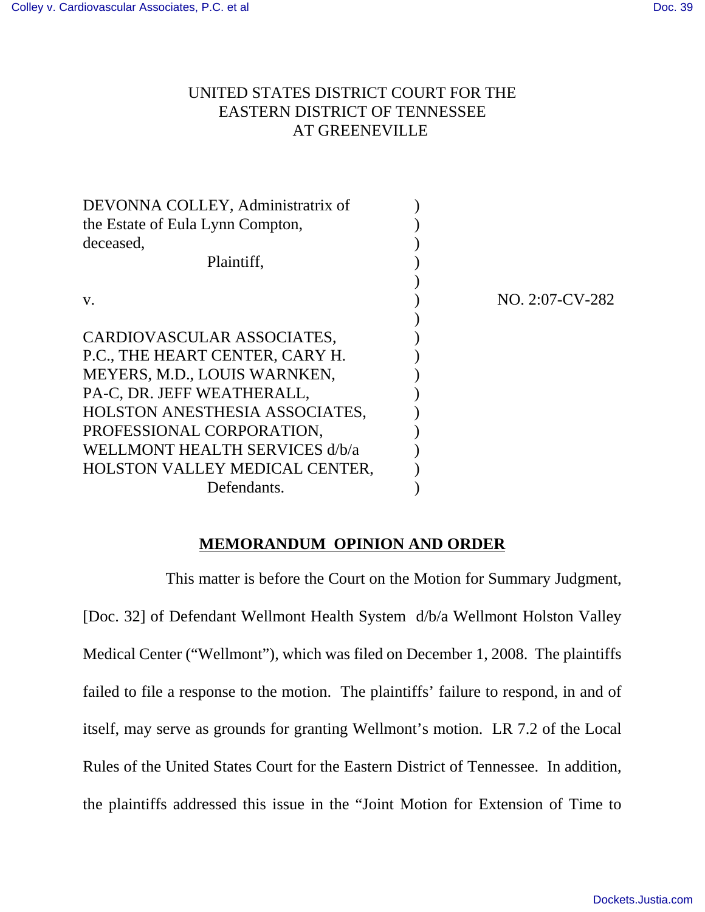## UNITED STATES DISTRICT COURT FOR THE EASTERN DISTRICT OF TENNESSEE AT GREENEVILLE

| DEVONNA COLLEY, Administratrix of |                 |
|-----------------------------------|-----------------|
| the Estate of Eula Lynn Compton,  |                 |
| deceased,                         |                 |
| Plaintiff,                        |                 |
|                                   |                 |
| V.                                | NO. 2:07-CV-282 |
|                                   |                 |
| CARDIOVASCULAR ASSOCIATES,        |                 |
| P.C., THE HEART CENTER, CARY H.   |                 |
| MEYERS, M.D., LOUIS WARNKEN,      |                 |
| PA-C, DR. JEFF WEATHERALL,        |                 |
| HOLSTON ANESTHESIA ASSOCIATES,    |                 |
| PROFESSIONAL CORPORATION,         |                 |
| WELLMONT HEALTH SERVICES d/b/a    |                 |
| HOLSTON VALLEY MEDICAL CENTER,    |                 |
| Defendants.                       |                 |

## **MEMORANDUM OPINION AND ORDER**

This matter is before the Court on the Motion for Summary Judgment, [Doc. 32] of Defendant Wellmont Health System d/b/a Wellmont Holston Valley Medical Center ("Wellmont"), which was filed on December 1, 2008. The plaintiffs failed to file a response to the motion. The plaintiffs' failure to respond, in and of itself, may serve as grounds for granting Wellmont's motion. LR 7.2 of the Local Rules of the United States Court for the Eastern District of Tennessee. In addition, the plaintiffs addressed this issue in the "Joint Motion for Extension of Time to